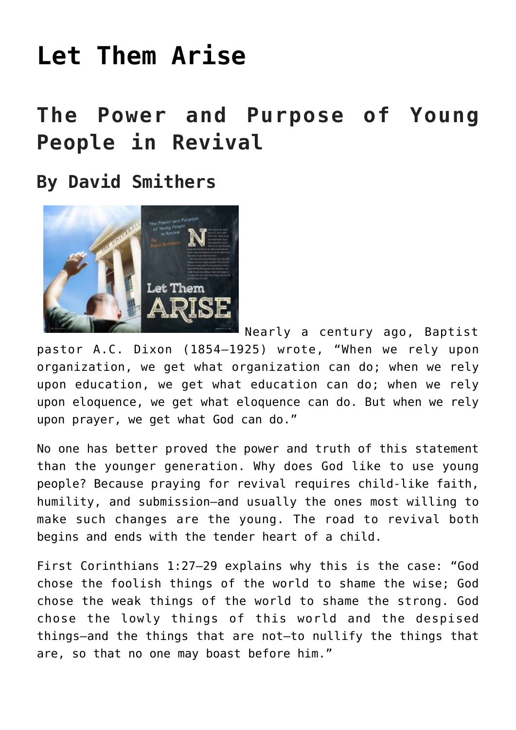# **[Let Them Arise](https://www.prayerleader.com/let-them-arise/)**

## **The Power and Purpose of Young People in Revival**

**By David Smithers**



Nearly a century ago, Baptist pastor A.C. Dixon (1854–1925) wrote, "When we rely upon organization, we get what organization can do; when we rely upon education, we get what education can do; when we rely upon eloquence, we get what eloquence can do. But when we rely upon prayer, we get what God can do."

No one has better proved the power and truth of this statement than the younger generation. Why does God like to use young people? Because praying for revival requires child-like faith, humility, and submission—and usually the ones most willing to make such changes are the young. The road to revival both begins and ends with the tender heart of a child.

First Corinthians 1:27–29 explains why this is the case: "God chose the foolish things of the world to shame the wise; God chose the weak things of the world to shame the strong. God chose the lowly things of this world and the despised things—and the things that are not—to nullify the things that are, so that no one may boast before him."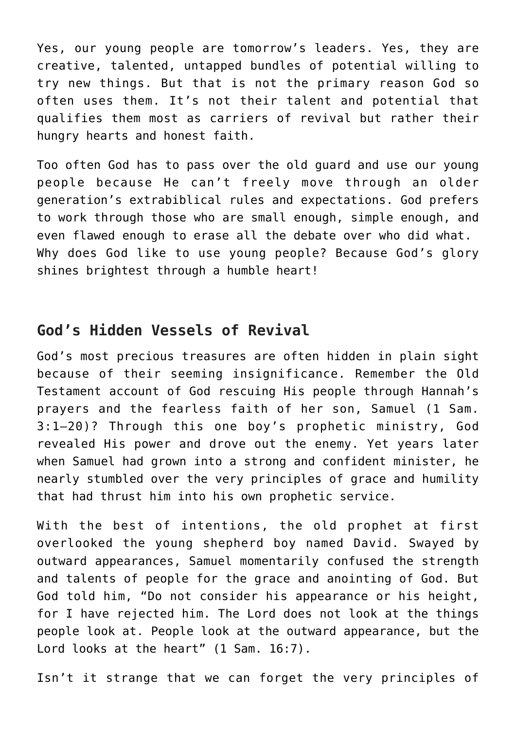Yes, our young people are tomorrow's leaders. Yes, they are creative, talented, untapped bundles of potential willing to try new things. But that is not the primary reason God so often uses them. It's not their talent and potential that qualifies them most as carriers of revival but rather their hungry hearts and honest faith.

Too often God has to pass over the old guard and use our young people because He can't freely move through an older generation's extrabiblical rules and expectations. God prefers to work through those who are small enough, simple enough, and even flawed enough to erase all the debate over who did what. Why does God like to use young people? Because God's glory shines brightest through a humble heart!

#### **God's Hidden Vessels of Revival**

God's most precious treasures are often hidden in plain sight because of their seeming insignificance. Remember the Old Testament account of God rescuing His people through Hannah's prayers and the fearless faith of her son, Samuel (1 Sam. 3:1–20)? Through this one boy's prophetic ministry, God revealed His power and drove out the enemy. Yet years later when Samuel had grown into a strong and confident minister, he nearly stumbled over the very principles of grace and humility that had thrust him into his own prophetic service.

With the best of intentions, the old prophet at first overlooked the young shepherd boy named David. Swayed by outward appearances, Samuel momentarily confused the strength and talents of people for the grace and anointing of God. But God told him, "Do not consider his appearance or his height, for I have rejected him. The Lord does not look at the things people look at. People look at the outward appearance, but the Lord looks at the heart" (1 Sam. 16:7).

Isn't it strange that we can forget the very principles of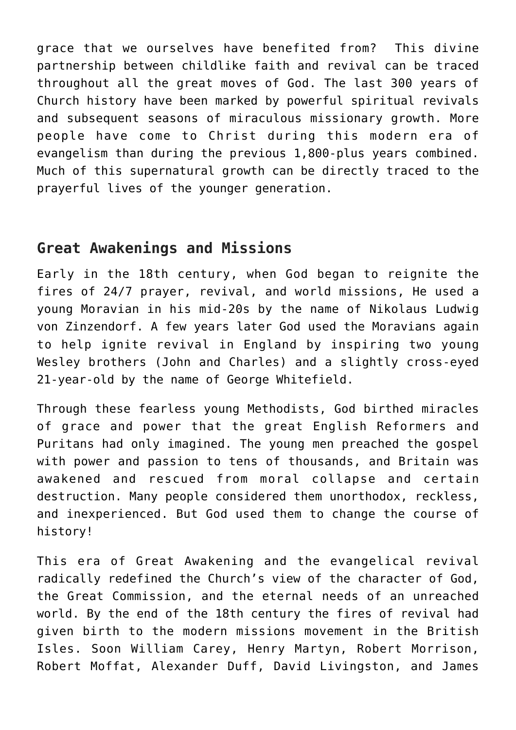grace that we ourselves have benefited from? This divine partnership between childlike faith and revival can be traced throughout all the great moves of God. The last 300 years of Church history have been marked by powerful spiritual revivals and subsequent seasons of miraculous missionary growth. More people have come to Christ during this modern era of evangelism than during the previous 1,800-plus years combined. Much of this supernatural growth can be directly traced to the prayerful lives of the younger generation.

#### **Great Awakenings and Missions**

Early in the 18th century, when God began to reignite the fires of 24/7 prayer, revival, and world missions, He used a young Moravian in his mid-20s by the name of Nikolaus Ludwig von Zinzendorf. A few years later God used the Moravians again to help ignite revival in England by inspiring two young Wesley brothers (John and Charles) and a slightly cross-eyed 21-year-old by the name of George Whitefield.

Through these fearless young Methodists, God birthed miracles of grace and power that the great English Reformers and Puritans had only imagined. The young men preached the gospel with power and passion to tens of thousands, and Britain was awakened and rescued from moral collapse and certain destruction. Many people considered them unorthodox, reckless, and inexperienced. But God used them to change the course of history!

This era of Great Awakening and the evangelical revival radically redefined the Church's view of the character of God, the Great Commission, and the eternal needs of an unreached world. By the end of the 18th century the fires of revival had given birth to the modern missions movement in the British Isles. Soon William Carey, Henry Martyn, Robert Morrison, Robert Moffat, Alexander Duff, David Livingston, and James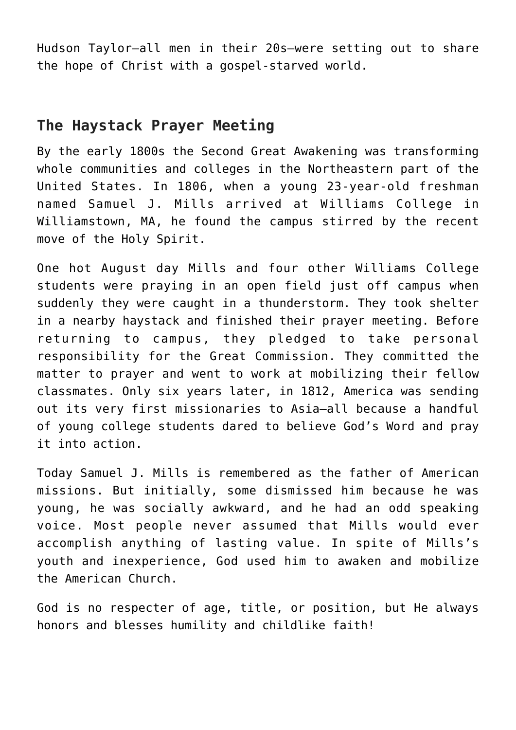Hudson Taylor—all men in their 20s—were setting out to share the hope of Christ with a gospel-starved world.

#### **The Haystack Prayer Meeting**

By the early 1800s the Second Great Awakening was transforming whole communities and colleges in the Northeastern part of the United States. In 1806, when a young 23-year-old freshman named Samuel J. Mills arrived at Williams College in Williamstown, MA, he found the campus stirred by the recent move of the Holy Spirit.

One hot August day Mills and four other Williams College students were praying in an open field just off campus when suddenly they were caught in a thunderstorm. They took shelter in a nearby haystack and finished their prayer meeting. Before returning to campus, they pledged to take personal responsibility for the Great Commission. They committed the matter to prayer and went to work at mobilizing their fellow classmates. Only six years later, in 1812, America was sending out its very first missionaries to Asia—all because a handful of young college students dared to believe God's Word and pray it into action.

Today Samuel J. Mills is remembered as the father of American missions. But initially, some dismissed him because he was young, he was socially awkward, and he had an odd speaking voice. Most people never assumed that Mills would ever accomplish anything of lasting value. In spite of Mills's youth and inexperience, God used him to awaken and mobilize the American Church.

God is no respecter of age, title, or position, but He always honors and blesses humility and childlike faith!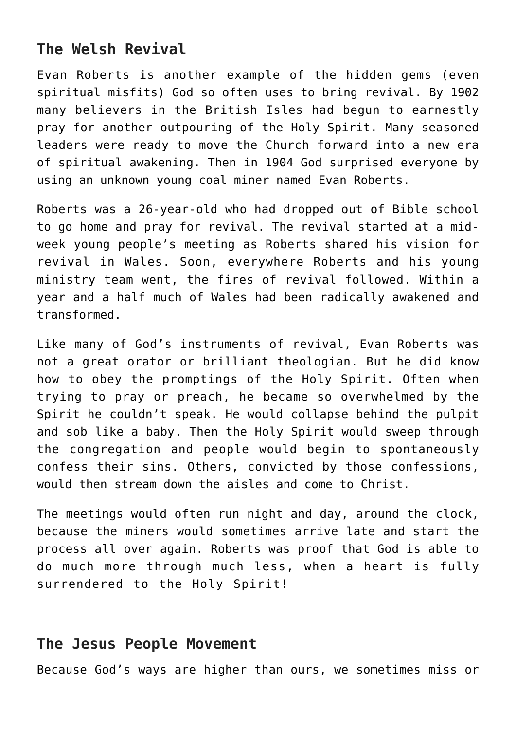#### **The Welsh Revival**

Evan Roberts is another example of the hidden gems (even spiritual misfits) God so often uses to bring revival. By 1902 many believers in the British Isles had begun to earnestly pray for another outpouring of the Holy Spirit. Many seasoned leaders were ready to move the Church forward into a new era of spiritual awakening. Then in 1904 God surprised everyone by using an unknown young coal miner named Evan Roberts.

Roberts was a 26-year-old who had dropped out of Bible school to go home and pray for revival. The revival started at a midweek young people's meeting as Roberts shared his vision for revival in Wales. Soon, everywhere Roberts and his young ministry team went, the fires of revival followed. Within a year and a half much of Wales had been radically awakened and transformed.

Like many of God's instruments of revival, Evan Roberts was not a great orator or brilliant theologian. But he did know how to obey the promptings of the Holy Spirit. Often when trying to pray or preach, he became so overwhelmed by the Spirit he couldn't speak. He would collapse behind the pulpit and sob like a baby. Then the Holy Spirit would sweep through the congregation and people would begin to spontaneously confess their sins. Others, convicted by those confessions, would then stream down the aisles and come to Christ.

The meetings would often run night and day, around the clock, because the miners would sometimes arrive late and start the process all over again. Roberts was proof that God is able to do much more through much less, when a heart is fully surrendered to the Holy Spirit!

#### **The Jesus People Movement**

Because God's ways are higher than ours, we sometimes miss or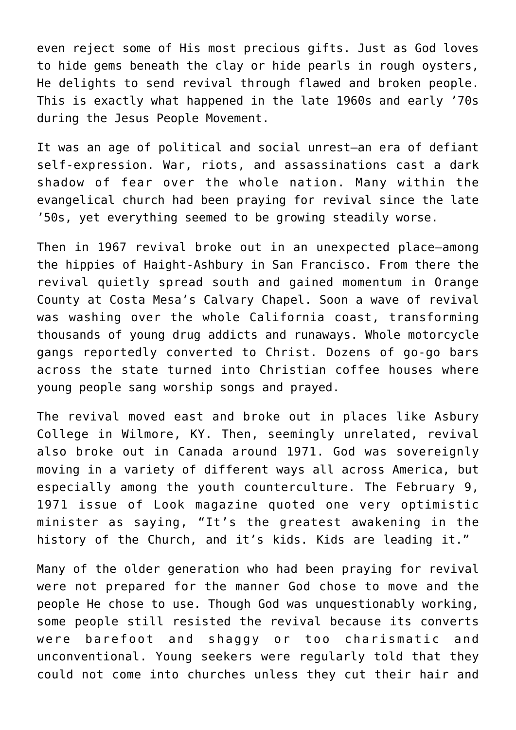even reject some of His most precious gifts. Just as God loves to hide gems beneath the clay or hide pearls in rough oysters, He delights to send revival through flawed and broken people. This is exactly what happened in the late 1960s and early '70s during the Jesus People Movement.

It was an age of political and social unrest—an era of defiant self-expression. War, riots, and assassinations cast a dark shadow of fear over the whole nation. Many within the evangelical church had been praying for revival since the late '50s, yet everything seemed to be growing steadily worse.

Then in 1967 revival broke out in an unexpected place—among the hippies of Haight-Ashbury in San Francisco. From there the revival quietly spread south and gained momentum in Orange County at Costa Mesa's Calvary Chapel. Soon a wave of revival was washing over the whole California coast, transforming thousands of young drug addicts and runaways. Whole motorcycle gangs reportedly converted to Christ. Dozens of go-go bars across the state turned into Christian coffee houses where young people sang worship songs and prayed.

The revival moved east and broke out in places like Asbury College in Wilmore, KY. Then, seemingly unrelated, revival also broke out in Canada around 1971. God was sovereignly moving in a variety of different ways all across America, but especially among the youth counterculture. The February 9, 1971 issue of Look magazine quoted one very optimistic minister as saying, "It's the greatest awakening in the history of the Church, and it's kids. Kids are leading it."

Many of the older generation who had been praying for revival were not prepared for the manner God chose to move and the people He chose to use. Though God was unquestionably working, some people still resisted the revival because its converts were barefoot and shaggy or too charismatic and unconventional. Young seekers were regularly told that they could not come into churches unless they cut their hair and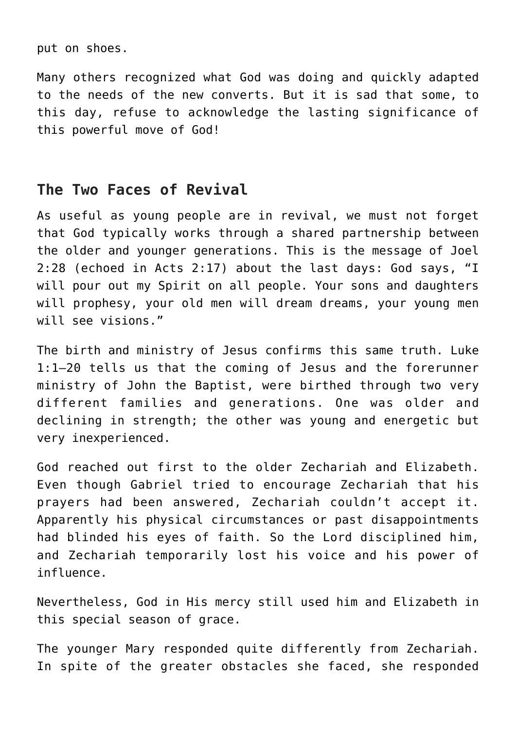put on shoes.

Many others recognized what God was doing and quickly adapted to the needs of the new converts. But it is sad that some, to this day, refuse to acknowledge the lasting significance of this powerful move of God!

#### **The Two Faces of Revival**

As useful as young people are in revival, we must not forget that God typically works through a shared partnership between the older and younger generations. This is the message of Joel 2:28 (echoed in Acts 2:17) about the last days: God says, "I will pour out my Spirit on all people. Your sons and daughters will prophesy, your old men will dream dreams, your young men will see visions."

The birth and ministry of Jesus confirms this same truth. Luke 1:1–20 tells us that the coming of Jesus and the forerunner ministry of John the Baptist, were birthed through two very different families and generations. One was older and declining in strength; the other was young and energetic but very inexperienced.

God reached out first to the older Zechariah and Elizabeth. Even though Gabriel tried to encourage Zechariah that his prayers had been answered, Zechariah couldn't accept it. Apparently his physical circumstances or past disappointments had blinded his eyes of faith. So the Lord disciplined him, and Zechariah temporarily lost his voice and his power of influence.

Nevertheless, God in His mercy still used him and Elizabeth in this special season of grace.

The younger Mary responded quite differently from Zechariah. In spite of the greater obstacles she faced, she responded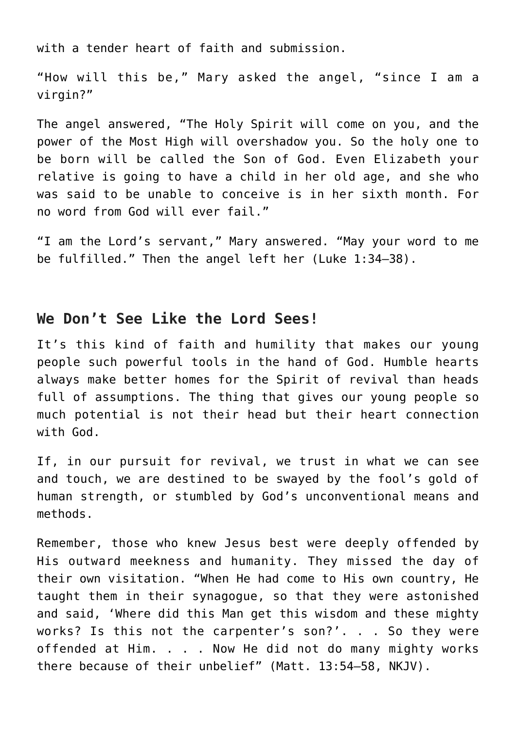with a tender heart of faith and submission.

"How will this be," Mary asked the angel, "since I am a virgin?"

The angel answered, "The Holy Spirit will come on you, and the power of the Most High will overshadow you. So the holy one to be born will be called the Son of God. Even Elizabeth your relative is going to have a child in her old age, and she who was said to be unable to conceive is in her sixth month. For no word from God will ever fail."

"I am the Lord's servant," Mary answered. "May your word to me be fulfilled." Then the angel left her (Luke 1:34–38).

#### **We Don't See Like the Lord Sees!**

It's this kind of faith and humility that makes our young people such powerful tools in the hand of God. Humble hearts always make better homes for the Spirit of revival than heads full of assumptions. The thing that gives our young people so much potential is not their head but their heart connection with God.

If, in our pursuit for revival, we trust in what we can see and touch, we are destined to be swayed by the fool's gold of human strength, or stumbled by God's unconventional means and methods.

Remember, those who knew Jesus best were deeply offended by His outward meekness and humanity. They missed the day of their own visitation. "When He had come to His own country, He taught them in their synagogue, so that they were astonished and said, 'Where did this Man get this wisdom and these mighty works? Is this not the carpenter's son?'. . . So they were offended at Him. . . . Now He did not do many mighty works there because of their unbelief" (Matt. 13:54–58, NKJV).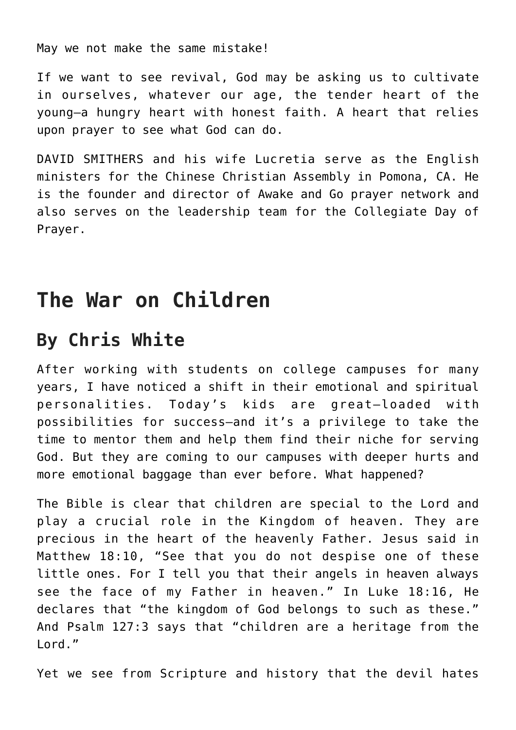May we not make the same mistake!

If we want to see revival, God may be asking us to cultivate in ourselves, whatever our age, the tender heart of the young—a hungry heart with honest faith. A heart that relies upon prayer to see what God can do.

DAVID SMITHERS and his wife Lucretia serve as the English ministers for the Chinese Christian Assembly in Pomona, CA. He is the founder and director of [Awake and Go prayer network](http://awakeandgo.com/) and also serves on the leadership team for the [Collegiate Day of](http://collegiatedayofprayer.org/) [Prayer](http://collegiatedayofprayer.org/).

### **The War on Children**

### **By Chris White**

After working with students on college campuses for many years, I have noticed a shift in their emotional and spiritual personalities. Today's kids are great—loaded with possibilities for success—and it's a privilege to take the time to mentor them and help them find their niche for serving God. But they are coming to our campuses with deeper hurts and more emotional baggage than ever before. What happened?

The Bible is clear that children are special to the Lord and play a crucial role in the Kingdom of heaven. They are precious in the heart of the heavenly Father. Jesus said in Matthew 18:10, "See that you do not despise one of these little ones. For I tell you that their angels in heaven always see the face of my Father in heaven." In Luke 18:16, He declares that "the kingdom of God belongs to such as these." And Psalm 127:3 says that "children are a heritage from the Lord."

Yet we see from Scripture and history that the devil hates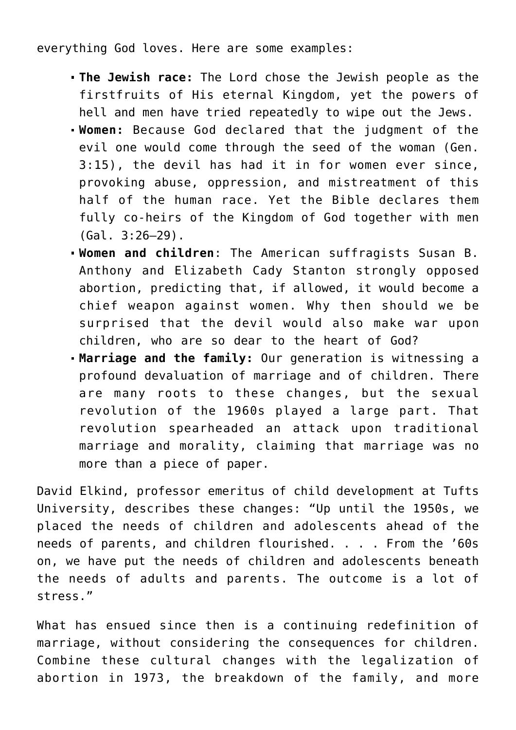everything God loves. Here are some examples:

- **The Jewish race:** The Lord chose the Jewish people as the firstfruits of His eternal Kingdom, yet the powers of hell and men have tried repeatedly to wipe out the Jews.
- **Women:** Because God declared that the judgment of the evil one would come through the seed of the woman (Gen. 3:15), the devil has had it in for women ever since, provoking abuse, oppression, and mistreatment of this half of the human race. Yet the Bible declares them fully co-heirs of the Kingdom of God together with men (Gal. 3:26–29).
- **Women and children**: The American suffragists Susan B. Anthony and Elizabeth Cady Stanton strongly opposed abortion, predicting that, if allowed, it would become a chief weapon against women. Why then should we be surprised that the devil would also make war upon children, who are so dear to the heart of God?
- **Marriage and the family:** Our generation is witnessing a profound devaluation of marriage and of children. There are many roots to these changes, but the sexual revolution of the 1960s played a large part. That revolution spearheaded an attack upon traditional marriage and morality, claiming that marriage was no more than a piece of paper.

David Elkind, professor emeritus of child development at Tufts University, describes these changes: "Up until the 1950s, we placed the needs of children and adolescents ahead of the needs of parents, and children flourished. . . . From the '60s on, we have put the needs of children and adolescents beneath the needs of adults and parents. The outcome is a lot of stress."

What has ensued since then is a continuing redefinition of marriage, without considering the consequences for children. Combine these cultural changes with the legalization of abortion in 1973, the breakdown of the family, and more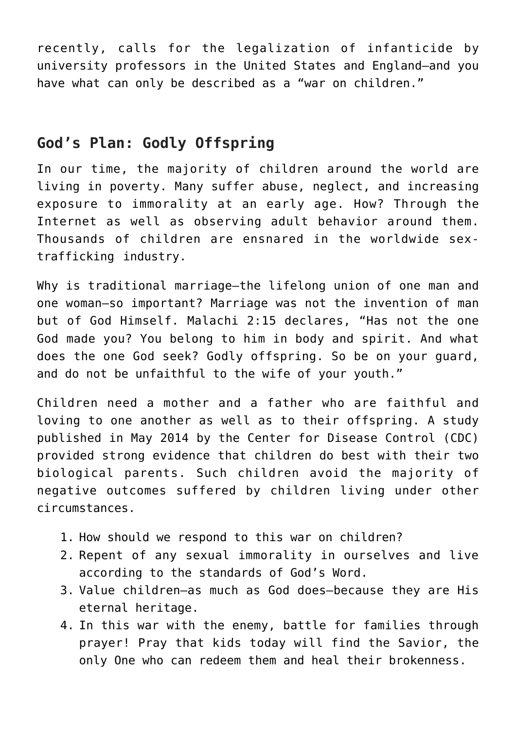recently, calls for the legalization of infanticide by university professors in the United States and England—and you have what can only be described as a "war on children."

#### **God's Plan: Godly Offspring**

In our time, the majority of children around the world are living in poverty. Many suffer abuse, neglect, and increasing exposure to immorality at an early age. How? Through the Internet as well as observing adult behavior around them. Thousands of children are ensnared in the worldwide sextrafficking industry.

Why is traditional marriage—the lifelong union of one man and one woman—so important? Marriage was not the invention of man but of God Himself. Malachi 2:15 declares, "Has not the one God made you? You belong to him in body and spirit. And what does the one God seek? Godly offspring. So be on your guard, and do not be unfaithful to the wife of your youth."

Children need a mother and a father who are faithful and loving to one another as well as to their offspring. A study published in May 2014 by the Center for Disease Control (CDC) provided strong evidence that children do best with their two biological parents. Such children avoid the majority of negative outcomes suffered by children living under other circumstances.

- 1. How should we respond to this war on children?
- 2. Repent of any sexual immorality in ourselves and live according to the standards of God's Word.
- 3. Value children—as much as God does—because they are His eternal heritage.
- 4. In this war with the enemy, battle for families through prayer! Pray that kids today will find the Savior, the only One who can redeem them and heal their brokenness.